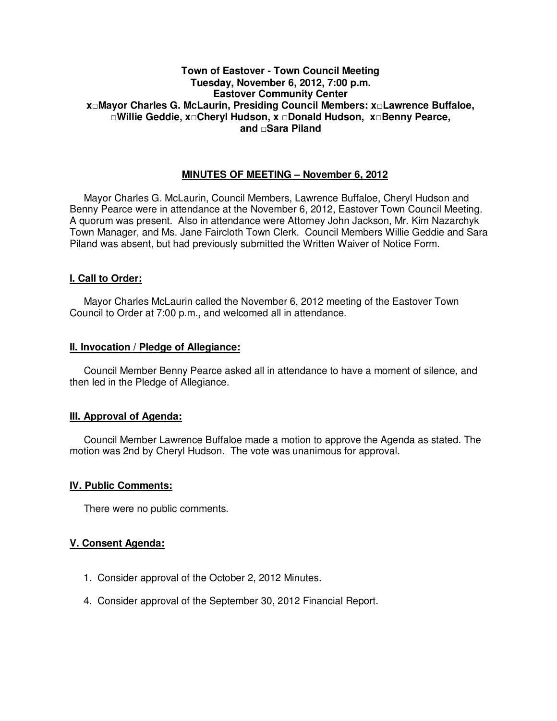# **Town of Eastover - Town Council Meeting Tuesday, November 6, 2012, 7:00 p.m. Eastover Community Center x□Mayor Charles G. McLaurin, Presiding Council Members: x□Lawrence Buffaloe, □Willie Geddie, x□Cheryl Hudson, x □Donald Hudson, x□Benny Pearce, and □Sara Piland**

# **MINUTES OF MEETING – November 6, 2012**

Mayor Charles G. McLaurin, Council Members, Lawrence Buffaloe, Cheryl Hudson and Benny Pearce were in attendance at the November 6, 2012, Eastover Town Council Meeting. A quorum was present. Also in attendance were Attorney John Jackson, Mr. Kim Nazarchyk Town Manager, and Ms. Jane Faircloth Town Clerk. Council Members Willie Geddie and Sara Piland was absent, but had previously submitted the Written Waiver of Notice Form.

#### **I. Call to Order:**

Mayor Charles McLaurin called the November 6, 2012 meeting of the Eastover Town Council to Order at 7:00 p.m., and welcomed all in attendance.

#### **II. Invocation / Pledge of Allegiance:**

 Council Member Benny Pearce asked all in attendance to have a moment of silence, and then led in the Pledge of Allegiance.

#### **III. Approval of Agenda:**

 Council Member Lawrence Buffaloe made a motion to approve the Agenda as stated. The motion was 2nd by Cheryl Hudson. The vote was unanimous for approval.

### **IV. Public Comments:**

There were no public comments.

### **V. Consent Agenda:**

- 1. Consider approval of the October 2, 2012 Minutes.
- 4. Consider approval of the September 30, 2012 Financial Report.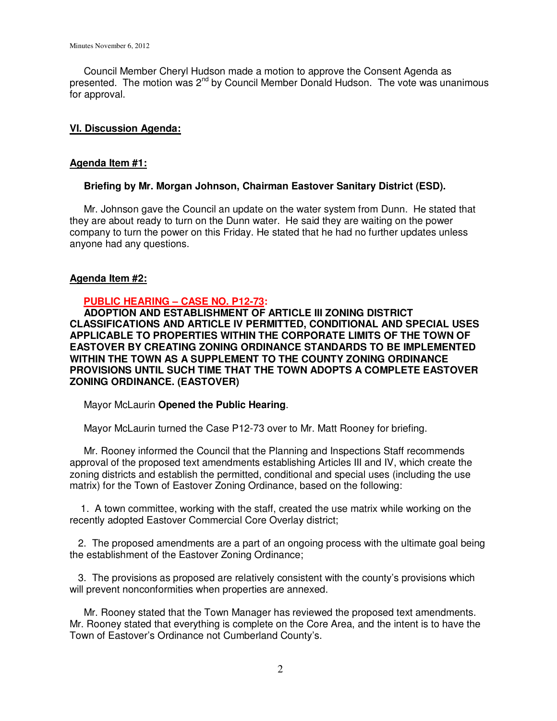Council Member Cheryl Hudson made a motion to approve the Consent Agenda as presented. The motion was 2<sup>nd</sup> by Council Member Donald Hudson. The vote was unanimous for approval.

### **VI. Discussion Agenda:**

### **Agenda Item #1:**

### **Briefing by Mr. Morgan Johnson, Chairman Eastover Sanitary District (ESD).**

Mr. Johnson gave the Council an update on the water system from Dunn. He stated that they are about ready to turn on the Dunn water. He said they are waiting on the power company to turn the power on this Friday. He stated that he had no further updates unless anyone had any questions.

### **Agenda Item #2:**

# **PUBLIC HEARING – CASE NO. P12-73:**

 **ADOPTION AND ESTABLISHMENT OF ARTICLE III ZONING DISTRICT CLASSIFICATIONS AND ARTICLE IV PERMITTED, CONDITIONAL AND SPECIAL USES APPLICABLE TO PROPERTIES WITHIN THE CORPORATE LIMITS OF THE TOWN OF EASTOVER BY CREATING ZONING ORDINANCE STANDARDS TO BE IMPLEMENTED WITHIN THE TOWN AS A SUPPLEMENT TO THE COUNTY ZONING ORDINANCE PROVISIONS UNTIL SUCH TIME THAT THE TOWN ADOPTS A COMPLETE EASTOVER ZONING ORDINANCE. (EASTOVER)** 

Mayor McLaurin **Opened the Public Hearing**.

Mayor McLaurin turned the Case P12-73 over to Mr. Matt Rooney for briefing.

 Mr. Rooney informed the Council that the Planning and Inspections Staff recommends approval of the proposed text amendments establishing Articles III and IV, which create the zoning districts and establish the permitted, conditional and special uses (including the use matrix) for the Town of Eastover Zoning Ordinance, based on the following:

 1. A town committee, working with the staff, created the use matrix while working on the recently adopted Eastover Commercial Core Overlay district;

 2. The proposed amendments are a part of an ongoing process with the ultimate goal being the establishment of the Eastover Zoning Ordinance;

 3. The provisions as proposed are relatively consistent with the county's provisions which will prevent nonconformities when properties are annexed.

 Mr. Rooney stated that the Town Manager has reviewed the proposed text amendments. Mr. Rooney stated that everything is complete on the Core Area, and the intent is to have the Town of Eastover's Ordinance not Cumberland County's.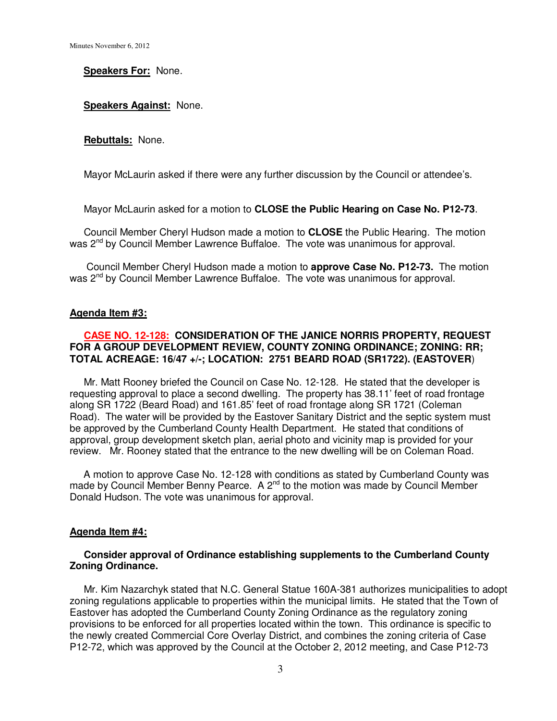#### **Speakers For:** None.

#### **Speakers Against:** None.

#### **Rebuttals:** None.

Mayor McLaurin asked if there were any further discussion by the Council or attendee's.

Mayor McLaurin asked for a motion to **CLOSE the Public Hearing on Case No. P12-73**.

 Council Member Cheryl Hudson made a motion to **CLOSE** the Public Hearing. The motion was 2nd by Council Member Lawrence Buffaloe.The vote was unanimous for approval.

 Council Member Cheryl Hudson made a motion to **approve Case No. P12-73.** The motion was 2<sup>nd</sup> by Council Member Lawrence Buffaloe. The vote was unanimous for approval.

#### **Agenda Item #3:**

# **CASE NO. 12-128: CONSIDERATION OF THE JANICE NORRIS PROPERTY, REQUEST FOR A GROUP DEVELOPMENT REVIEW, COUNTY ZONING ORDINANCE; ZONING: RR; TOTAL ACREAGE: 16/47 +/-; LOCATION: 2751 BEARD ROAD (SR1722). (EASTOVER**)

 Mr. Matt Rooney briefed the Council on Case No. 12-128. He stated that the developer is requesting approval to place a second dwelling. The property has 38.11' feet of road frontage along SR 1722 (Beard Road) and 161.85' feet of road frontage along SR 1721 (Coleman Road). The water will be provided by the Eastover Sanitary District and the septic system must be approved by the Cumberland County Health Department. He stated that conditions of approval, group development sketch plan, aerial photo and vicinity map is provided for your review. Mr. Rooney stated that the entrance to the new dwelling will be on Coleman Road.

 A motion to approve Case No. 12-128 with conditions as stated by Cumberland County was made by Council Member Benny Pearce. A  $2^{nd}$  to the motion was made by Council Member Donald Hudson. The vote was unanimous for approval.

#### **Agenda Item #4:**

#### **Consider approval of Ordinance establishing supplements to the Cumberland County Zoning Ordinance.**

 Mr. Kim Nazarchyk stated that N.C. General Statue 160A-381 authorizes municipalities to adopt zoning regulations applicable to properties within the municipal limits. He stated that the Town of Eastover has adopted the Cumberland County Zoning Ordinance as the regulatory zoning provisions to be enforced for all properties located within the town. This ordinance is specific to the newly created Commercial Core Overlay District, and combines the zoning criteria of Case P12-72, which was approved by the Council at the October 2, 2012 meeting, and Case P12-73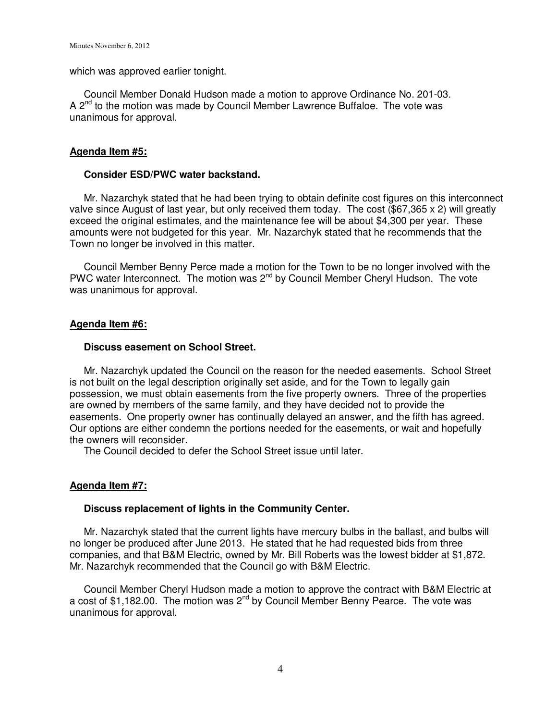which was approved earlier tonight.

 Council Member Donald Hudson made a motion to approve Ordinance No. 201-03. A 2nd to the motion was made by Council Member Lawrence Buffaloe.The vote was unanimous for approval.

### **Agenda Item #5:**

#### **Consider ESD/PWC water backstand.**

 Mr. Nazarchyk stated that he had been trying to obtain definite cost figures on this interconnect valve since August of last year, but only received them today. The cost (\$67,365 x 2) will greatly exceed the original estimates, and the maintenance fee will be about \$4,300 per year. These amounts were not budgeted for this year. Mr. Nazarchyk stated that he recommends that the Town no longer be involved in this matter.

 Council Member Benny Perce made a motion for the Town to be no longer involved with the PWC water Interconnect. The motion was 2<sup>nd</sup> by Council Member Cheryl Hudson. The vote was unanimous for approval.

### **Agenda Item #6:**

# **Discuss easement on School Street.**

 Mr. Nazarchyk updated the Council on the reason for the needed easements. School Street is not built on the legal description originally set aside, and for the Town to legally gain possession, we must obtain easements from the five property owners. Three of the properties are owned by members of the same family, and they have decided not to provide the easements. One property owner has continually delayed an answer, and the fifth has agreed. Our options are either condemn the portions needed for the easements, or wait and hopefully the owners will reconsider.

The Council decided to defer the School Street issue until later.

### **Agenda Item #7:**

### **Discuss replacement of lights in the Community Center.**

 Mr. Nazarchyk stated that the current lights have mercury bulbs in the ballast, and bulbs will no longer be produced after June 2013. He stated that he had requested bids from three companies, and that B&M Electric, owned by Mr. Bill Roberts was the lowest bidder at \$1,872. Mr. Nazarchyk recommended that the Council go with B&M Electric.

 Council Member Cheryl Hudson made a motion to approve the contract with B&M Electric at a cost of \$1,182.00. The motion was 2<sup>nd</sup> by Council Member Benny Pearce. The vote was unanimous for approval.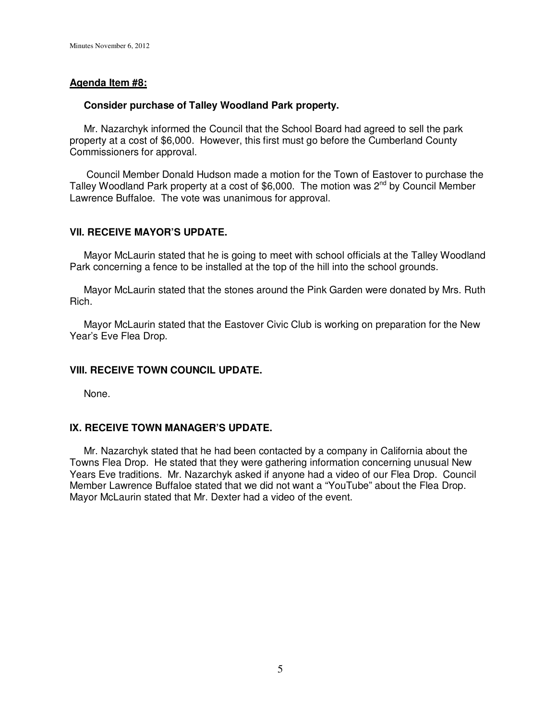#### **Agenda Item #8:**

#### **Consider purchase of Talley Woodland Park property.**

 Mr. Nazarchyk informed the Council that the School Board had agreed to sell the park property at a cost of \$6,000. However, this first must go before the Cumberland County Commissioners for approval.

 Council Member Donald Hudson made a motion for the Town of Eastover to purchase the Talley Woodland Park property at a cost of \$6,000. The motion was 2<sup>nd</sup> by Council Member Lawrence Buffaloe. The vote was unanimous for approval.

### **VII. RECEIVE MAYOR'S UPDATE.**

 Mayor McLaurin stated that he is going to meet with school officials at the Talley Woodland Park concerning a fence to be installed at the top of the hill into the school grounds.

 Mayor McLaurin stated that the stones around the Pink Garden were donated by Mrs. Ruth Rich.

 Mayor McLaurin stated that the Eastover Civic Club is working on preparation for the New Year's Eve Flea Drop.

### **VIII. RECEIVE TOWN COUNCIL UPDATE.**

None.

#### **IX. RECEIVE TOWN MANAGER'S UPDATE.**

 Mr. Nazarchyk stated that he had been contacted by a company in California about the Towns Flea Drop. He stated that they were gathering information concerning unusual New Years Eve traditions. Mr. Nazarchyk asked if anyone had a video of our Flea Drop. Council Member Lawrence Buffaloe stated that we did not want a "YouTube" about the Flea Drop. Mayor McLaurin stated that Mr. Dexter had a video of the event.